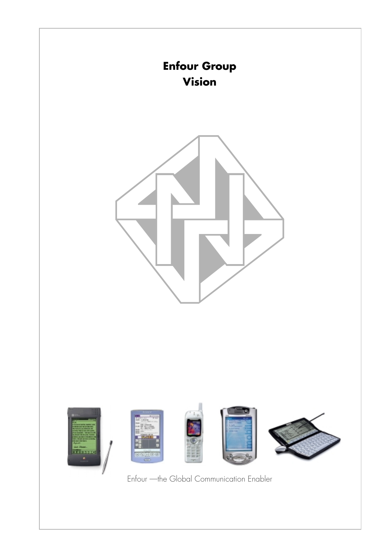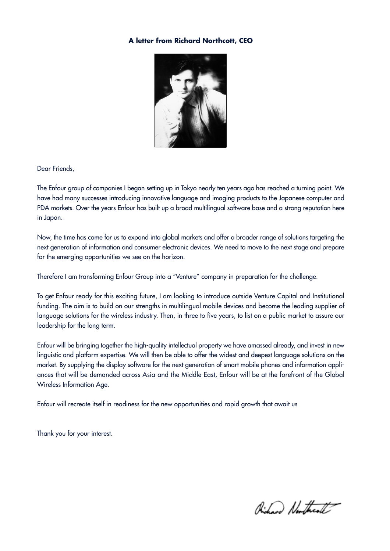### **A letter from Richard Northcott, CEO**



Dear Friends,

The Enfour group of companies I began setting up in Tokyo nearly ten years ago has reached a turning point. We have had many successes introducing innovative language and imaging products to the Japanese computer and PDA markets. Over the years Enfour has built up a broad multilingual software base and a strong reputation here in Japan.

Now, the time has come for us to expand into global markets and offer a broader range of solutions targeting the next generation of information and consumer electronic devices. We need to move to the next stage and prepare for the emerging opportunities we see on the horizon.

Therefore I am transforming Enfour Group into a "Venture" company in preparation for the challenge.

To get Enfour ready for this exciting future, I am looking to introduce outside Venture Capital and Institutional funding. The aim is to build on our strengths in multilingual mobile devices and become the leading supplier of language solutions for the wireless industry. Then, in three to five years, to list on a public market to assure our leadership for the long term.

Enfour will be bringing together the high-quality intellectual property we have amassed already, and invest in new linguistic and platform expertise. We will then be able to offer the widest and deepest language solutions on the market. By supplying the display software for the next generation of smart mobile phones and information appliances that will be demanded across Asia and the Middle East, Enfour will be at the forefront of the Global Wireless Information Age.

Enfour will recreate itself in readiness for the new opportunities and rapid growth that await us

Thank you for your interest.

Richard Northcoll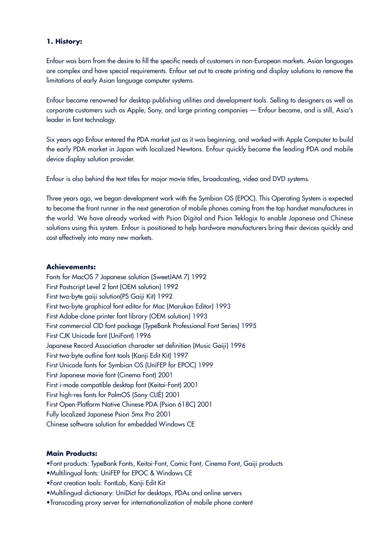# **1. History:**

Enfour was born from the desire to fill the specific needs of customers in non-European markets. Asian languages are complex and have special requirements. Enfour set out to create printing and display solutions to remove the limitations of early Asian language computer systems.

Enfour became renowned for desktop publishing utilities and development tools. Selling to designers as well as corporate customers such as Apple, Sony, and large printing companies — Enfour became, and is still, Asia's leader in font technology.

Six years ago Enfour entered the PDA market just as it was beginning, and worked with Apple Computer to build the early PDA market in Japan with localized Newtons. Enfour quickly became the leading PDA and mobile device display solution provider.

Enfour is also behind the text titles for major movie titles, broadcasting, video and DVD systems.

Three years ago, we began development work with the Symbian OS (EPOC). This Operating System is expected to become the front runner in the next generation of mobile phones coming from the top handset manufactures in the world. We have already worked with Psion Digital and Psion Teklogix to enable Japanese and Chinese solutions using this system. Enfour is positioned to help hardware manufacturers bring their devices quickly and cost effectively into many new markets.

### **Achievements:**

Fonts for MacOS 7 Japanese solution (SweetJAM 7) 1992 First Postscript Level 2 font (OEM solution) 1992 First two-byte gaiji solution(PS Gaiji Kit) 1992 First two-byte graphical font editor for Mac (Marukan Editor) 1993 First Adobe-clone printer font library (OEM solution) 1993 First commercial CID font package (TypeBank Professional Font Series) 1995 First CJK Unicode font (UniFont) 1996 Japanese Record Association character set definition (Music Gaiji) 1996 First two-byte outline font tools (Kanji Edit Kit) 1997 First Unicode fonts for Symbian OS (UniFEP for EPOC) 1999 First Japanese movie font (Cinema Font) 2001 First i-mode compatible desktop font (Keitai-Font) 2001 First high-res fonts for PalmOS (Sony CLIÉ) 2001 First Open-Platform Native Chinese PDA (Psion 618C) 2001 Fully localized Japanese Psion 5mx Pro 2001 Chinese software solution for embedded Windows CE

# **Main Products:**

•Font products: TypeBank Fonts, Keitai-Font, Comic Font, Cinema Font, Gaiji products

- •Multilingual fonts: UniFEP for EPOC & Windows CE
- •Font creation tools: FontLab, Kanji Edit Kit
- •Multilingual dictionary: UniDict for desktops, PDAs and online servers
- •Transcoding proxy server for internationalization of mobile phone content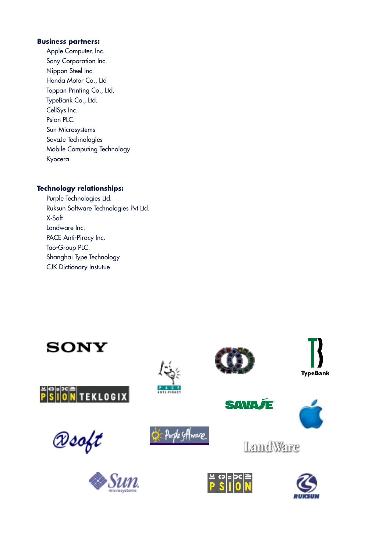### **Business partners:**

Apple Computer, Inc. Sony Corporation Inc. Nippon Steel Inc. Honda Motor Co., Ltd Toppan Printing Co., Ltd. TypeBank Co., Ltd. CellSys Inc. Psion PLC. Sun Microsystems SavaJe Technologies Mobile Computing Technology Kyocera

# **Technology relationships:**

Purple Technologies Ltd. Ruksun Software Technologies Pvt Ltd. X-Soft Landware Inc. PACE Anti-Piracy Inc. Tao-Group PLC. Shanghai Type Technology CJK Dictionary Instutue

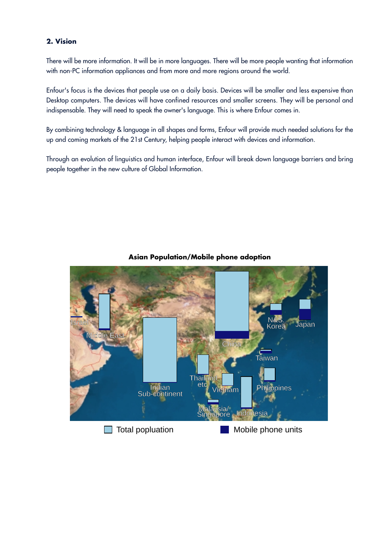# **2. Vision**

There will be more information. It will be in more languages. There will be more people wanting that information with non-PC information appliances and from more and more regions around the world.

Enfour's focus is the devices that people use on a daily basis. Devices will be smaller and less expensive than Desktop computers. The devices will have confined resources and smaller screens. They will be personal and indispensable. They will need to speak the owner's language. This is where Enfour comes in.

By combining technology & language in all shapes and forms, Enfour will provide much needed solutions for the up and coming markets of the 21st Century, helping people interact with devices and information.

Through an evolution of linguistics and human interface, Enfour will break down language barriers and bring people together in the new culture of Global Information.



**Asian Population/Mobile phone adoption**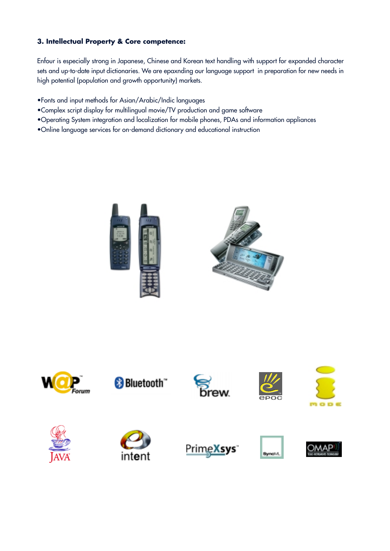# **3. Intellectual Property & Core competence:**

Enfour is especially strong in Japanese, Chinese and Korean text handling with support for expanded character sets and up-to-date input dictionaries. We are epaxnding our language support in preparation for new needs in high potential (population and growth opportunity) markets.

- •Fonts and input methods for Asian/Arabic/Indic languages
- •Complex script display for multilingual movie/TV production and game software
- •Operating System integration and localization for mobile phones, PDAs and information appliances
- •Online language services for on-demand dictionary and educational instruction